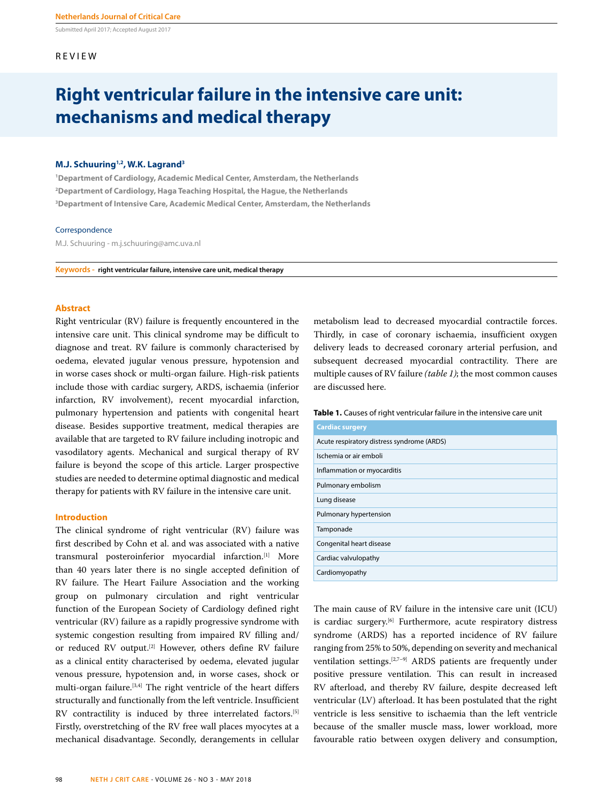Submitted April 2017; Accepted August 2017

## REVIEW

# **Right ventricular failure in the intensive care unit: mechanisms and medical therapy**

# **M.J. Schuuring1,2, W.K. Lagrand3**

**1 Department of Cardiology, Academic Medical Center, Amsterdam, the Netherlands 2 Department of Cardiology, Haga Teaching Hospital, the Hague, the Netherlands 3 Department of Intensive Care, Academic Medical Center, Amsterdam, the Netherlands** 

#### Correspondence

M.J. Schuuring - m.j.schuuring@amc.uva.nl

**Keywords - right ventricular failure, intensive care unit, medical therapy**

## **Abstract**

Right ventricular (RV) failure is frequently encountered in the intensive care unit. This clinical syndrome may be difficult to diagnose and treat. RV failure is commonly characterised by oedema, elevated jugular venous pressure, hypotension and in worse cases shock or multi-organ failure. High-risk patients include those with cardiac surgery, ARDS, ischaemia (inferior infarction, RV involvement), recent myocardial infarction, pulmonary hypertension and patients with congenital heart disease. Besides supportive treatment, medical therapies are available that are targeted to RV failure including inotropic and vasodilatory agents. Mechanical and surgical therapy of RV failure is beyond the scope of this article. Larger prospective studies are needed to determine optimal diagnostic and medical therapy for patients with RV failure in the intensive care unit.

# **Introduction**

The clinical syndrome of right ventricular (RV) failure was first described by Cohn et al. and was associated with a native transmural posteroinferior myocardial infarction.[1] More than 40 years later there is no single accepted definition of RV failure. The Heart Failure Association and the working group on pulmonary circulation and right ventricular function of the European Society of Cardiology defined right ventricular (RV) failure as a rapidly progressive syndrome with systemic congestion resulting from impaired RV filling and/ or reduced RV output.[2] However, others define RV failure as a clinical entity characterised by oedema, elevated jugular venous pressure, hypotension and, in worse cases, shock or multi-organ failure.[3,4] The right ventricle of the heart differs structurally and functionally from the left ventricle. Insufficient RV contractility is induced by three interrelated factors.<sup>[5]</sup> Firstly, overstretching of the RV free wall places myocytes at a mechanical disadvantage. Secondly, derangements in cellular

metabolism lead to decreased myocardial contractile forces. Thirdly, in case of coronary ischaemia, insufficient oxygen delivery leads to decreased coronary arterial perfusion, and subsequent decreased myocardial contractility. There are multiple causes of RV failure *(table 1)*; the most common causes are discussed here.

### **Table 1.** Causes of right ventricular failure in the intensive care unit

| <b>Cardiac surgery</b>                     |
|--------------------------------------------|
| Acute respiratory distress syndrome (ARDS) |
| Ischemia or air emboli                     |
| Inflammation or myocarditis                |
| Pulmonary embolism                         |
| Lung disease                               |
| Pulmonary hypertension                     |
| Tamponade                                  |
| Congenital heart disease                   |
| Cardiac valvulopathy                       |
| Cardiomyopathy                             |

The main cause of RV failure in the intensive care unit (ICU) is cardiac surgery.<sup>[6]</sup> Furthermore, acute respiratory distress syndrome (ARDS) has a reported incidence of RV failure ranging from 25% to 50%, depending on severity and mechanical ventilation settings.[2,7–9] ARDS patients are frequently under positive pressure ventilation. This can result in increased RV afterload, and thereby RV failure, despite decreased left ventricular (LV) afterload. It has been postulated that the right ventricle is less sensitive to ischaemia than the left ventricle because of the smaller muscle mass, lower workload, more favourable ratio between oxygen delivery and consumption,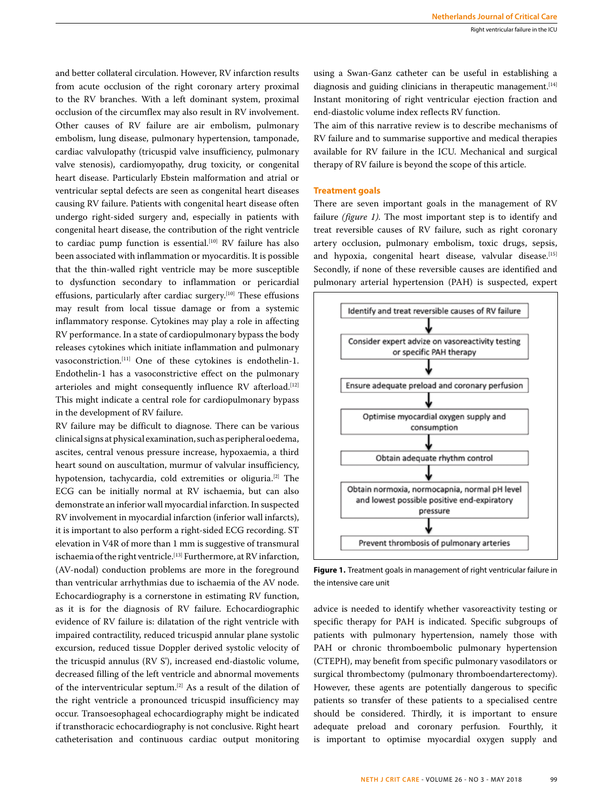and better collateral circulation. However, RV infarction results from acute occlusion of the right coronary artery proximal to the RV branches. With a left dominant system, proximal occlusion of the circumflex may also result in RV involvement. Other causes of RV failure are air embolism, pulmonary embolism, lung disease, pulmonary hypertension, tamponade, cardiac valvulopathy (tricuspid valve insufficiency, pulmonary valve stenosis), cardiomyopathy, drug toxicity, or congenital heart disease. Particularly Ebstein malformation and atrial or ventricular septal defects are seen as congenital heart diseases causing RV failure. Patients with congenital heart disease often undergo right-sided surgery and, especially in patients with congenital heart disease, the contribution of the right ventricle to cardiac pump function is essential.<sup>[10]</sup> RV failure has also been associated with inflammation or myocarditis. It is possible that the thin-walled right ventricle may be more susceptible to dysfunction secondary to inflammation or pericardial effusions, particularly after cardiac surgery.<sup>[10]</sup> These effusions may result from local tissue damage or from a systemic inflammatory response. Cytokines may play a role in affecting RV performance. In a state of cardiopulmonary bypass the body releases cytokines which initiate inflammation and pulmonary vasoconstriction.[11] One of these cytokines is endothelin-1. Endothelin-1 has a vasoconstrictive effect on the pulmonary arterioles and might consequently influence RV afterload.<sup>[12]</sup> This might indicate a central role for cardiopulmonary bypass in the development of RV failure.

RV failure may be difficult to diagnose. There can be various clinical signs at physical examination, such as peripheral oedema, ascites, central venous pressure increase, hypoxaemia, a third heart sound on auscultation, murmur of valvular insufficiency, hypotension, tachycardia, cold extremities or oliguria.<sup>[2]</sup> The ECG can be initially normal at RV ischaemia, but can also demonstrate an inferior wall myocardial infarction. In suspected RV involvement in myocardial infarction (inferior wall infarcts), it is important to also perform a right-sided ECG recording. ST elevation in V4R of more than 1 mm is suggestive of transmural ischaemia of the right ventricle.<sup>[13]</sup> Furthermore, at RV infarction, (AV-nodal) conduction problems are more in the foreground than ventricular arrhythmias due to ischaemia of the AV node. Echocardiography is a cornerstone in estimating RV function, as it is for the diagnosis of RV failure. Echocardiographic evidence of RV failure is: dilatation of the right ventricle with impaired contractility, reduced tricuspid annular plane systolic excursion, reduced tissue Doppler derived systolic velocity of the tricuspid annulus (RV S'), increased end-diastolic volume, decreased filling of the left ventricle and abnormal movements of the interventricular septum.[2] As a result of the dilation of the right ventricle a pronounced tricuspid insufficiency may occur. Transoesophageal echocardiography might be indicated if transthoracic echocardiography is not conclusive. Right heart catheterisation and continuous cardiac output monitoring using a Swan-Ganz catheter can be useful in establishing a diagnosis and guiding clinicians in therapeutic management.<sup>[14]</sup> Instant monitoring of right ventricular ejection fraction and end-diastolic volume index reflects RV function.

The aim of this narrative review is to describe mechanisms of RV failure and to summarise supportive and medical therapies available for RV failure in the ICU. Mechanical and surgical therapy of RV failure is beyond the scope of this article.

## **Treatment goals**

There are seven important goals in the management of RV failure *(figure 1)*. The most important step is to identify and treat reversible causes of RV failure, such as right coronary artery occlusion, pulmonary embolism, toxic drugs, sepsis, and hypoxia, congenital heart disease, valvular disease.[15] Secondly, if none of these reversible causes are identified and pulmonary arterial hypertension (PAH) is suspected, expert



**Figure 1.** Treatment goals in management of right ventricular failure in the intensive care unit

advice is needed to identify whether vasoreactivity testing or specific therapy for PAH is indicated. Specific subgroups of patients with pulmonary hypertension, namely those with PAH or chronic thromboembolic pulmonary hypertension (CTEPH), may benefit from specific pulmonary vasodilators or surgical thrombectomy (pulmonary thromboendarterectomy). However, these agents are potentially dangerous to specific patients so transfer of these patients to a specialised centre should be considered. Thirdly, it is important to ensure adequate preload and coronary perfusion. Fourthly, it is important to optimise myocardial oxygen supply and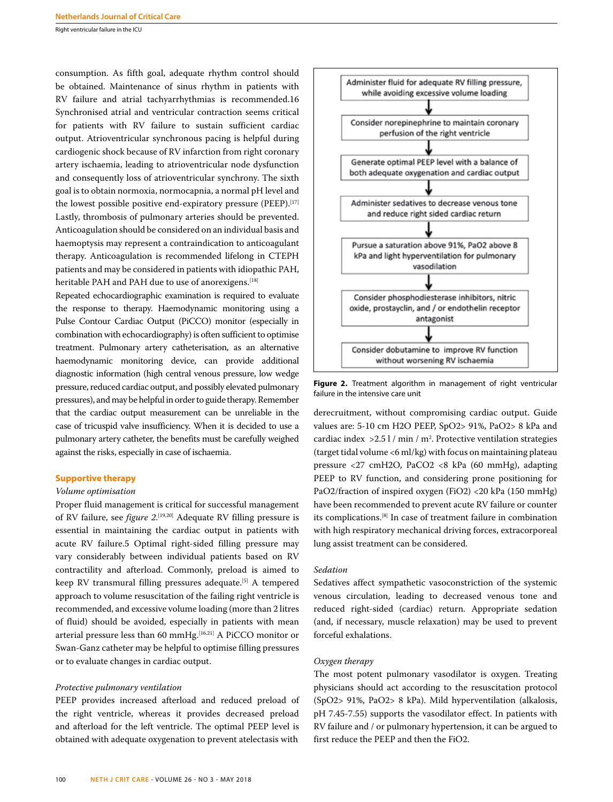Right ventricular failure in the ICU

consumption. As fifth goal, adequate rhythm control should be obtained. Maintenance of sinus rhythm in patients with RV failure and atrial tachyarrhythmias is recommended.16 Synchronised atrial and ventricular contraction seems critical for patients with RV failure to sustain sufficient cardiac output. Atrioventricular synchronous pacing is helpful during cardiogenic shock because of RV infarction from right coronary artery ischaemia, leading to atrioventricular node dysfunction and consequently loss of atrioventricular synchrony. The sixth goal is to obtain normoxia, normocapnia, a normal pH level and the lowest possible positive end-expiratory pressure (PEEP).<sup>[17]</sup> Lastly, thrombosis of pulmonary arteries should be prevented. Anticoagulation should be considered on an individual basis and haemoptysis may represent a contraindication to anticoagulant therapy. Anticoagulation is recommended lifelong in CTEPH patients and may be considered in patients with idiopathic PAH, heritable PAH and PAH due to use of anorexigens.<sup>[18]</sup>

Repeated echocardiographic examination is required to evaluate the response to therapy. Haemodynamic monitoring using a Pulse Contour Cardiac Output (PiCCO) monitor (especially in combination with echocardiography) is often sufficient to optimise treatment. Pulmonary artery catheterisation, as an alternative haemodynamic monitoring device, can provide additional diagnostic information (high central venous pressure, low wedge pressure, reduced cardiac output, and possibly elevated pulmonary pressures), and may be helpful in order to guide therapy. Remember that the cardiac output measurement can be unreliable in the case of tricuspid valve insufficiency. When it is decided to use a pulmonary artery catheter, the benefits must be carefully weighed against the risks, especially in case of ischaemia.

#### **Supportive therapy**

#### *Volume optimisation*

Proper fluid management is critical for successful management of RV failure, see *figure 2*. [19,20] Adequate RV filling pressure is essential in maintaining the cardiac output in patients with acute RV failure.5 Optimal right-sided filling pressure may vary considerably between individual patients based on RV contractility and afterload. Commonly, preload is aimed to keep RV transmural filling pressures adequate.<sup>[5]</sup> A tempered approach to volume resuscitation of the failing right ventricle is recommended, and excessive volume loading (more than 2 litres of fluid) should be avoided, especially in patients with mean arterial pressure less than 60 mmHg.<sup>[16,21]</sup> A PiCCO monitor or Swan-Ganz catheter may be helpful to optimise filling pressures or to evaluate changes in cardiac output.

#### *Protective pulmonary ventilation*

PEEP provides increased afterload and reduced preload of the right ventricle, whereas it provides decreased preload and afterload for the left ventricle. The optimal PEEP level is obtained with adequate oxygenation to prevent atelectasis with



**Figure 2.** Treatment algorithm in management of right ventricular failure in the intensive care unit

derecruitment, without compromising cardiac output. Guide values are: 5-10 cm H2O PEEP, SpO2> 91%, PaO2> 8 kPa and cardiac index  $>2.5$  l / min / m<sup>2</sup>. Protective ventilation strategies (target tidal volume <6 ml/kg) with focus on maintaining plateau pressure <27 cmH2O, PaCO2 <8 kPa (60 mmHg), adapting PEEP to RV function, and considering prone positioning for PaO2/fraction of inspired oxygen (FiO2) <20 kPa (150 mmHg) have been recommended to prevent acute RV failure or counter its complications.[8] In case of treatment failure in combination with high respiratory mechanical driving forces, extracorporeal lung assist treatment can be considered.

## *Sedation*

Sedatives affect sympathetic vasoconstriction of the systemic venous circulation, leading to decreased venous tone and reduced right-sided (cardiac) return. Appropriate sedation (and, if necessary, muscle relaxation) may be used to prevent forceful exhalations.

# *Oxygen therapy*

The most potent pulmonary vasodilator is oxygen. Treating physicians should act according to the resuscitation protocol (SpO2> 91%, PaO2> 8 kPa). Mild hyperventilation (alkalosis, pH 7.45-7.55) supports the vasodilator effect. In patients with RV failure and / or pulmonary hypertension, it can be argued to first reduce the PEEP and then the FiO2.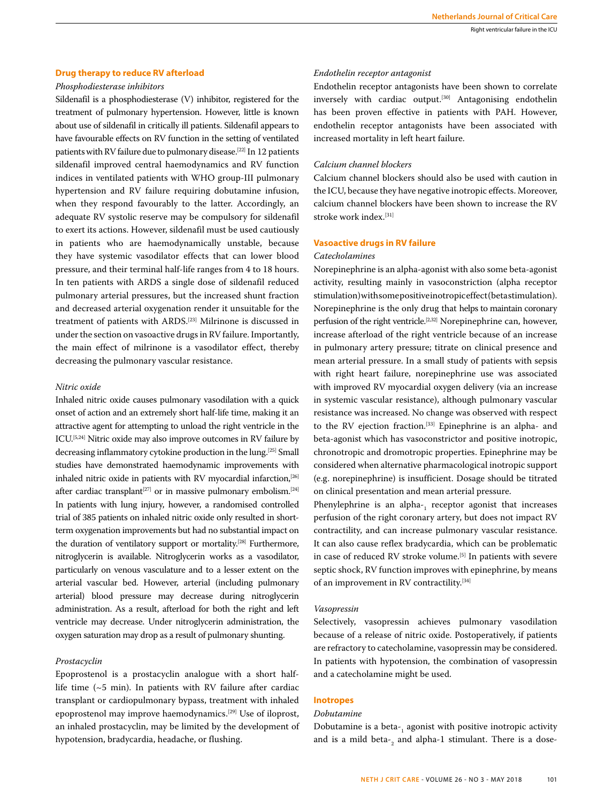# **Drug therapy to reduce RV afterload**

## *Phosphodiesterase inhibitors*

Sildenafil is a phosphodiesterase (V) inhibitor, registered for the treatment of pulmonary hypertension. However, little is known about use of sildenafil in critically ill patients. Sildenafil appears to have favourable effects on RV function in the setting of ventilated patients with RV failure due to pulmonary disease.[22] In 12 patients sildenafil improved central haemodynamics and RV function indices in ventilated patients with WHO group-III pulmonary hypertension and RV failure requiring dobutamine infusion, when they respond favourably to the latter. Accordingly, an adequate RV systolic reserve may be compulsory for sildenafil to exert its actions. However, sildenafil must be used cautiously in patients who are haemodynamically unstable, because they have systemic vasodilator effects that can lower blood pressure, and their terminal half-life ranges from 4 to 18 hours. In ten patients with ARDS a single dose of sildenafil reduced pulmonary arterial pressures, but the increased shunt fraction and decreased arterial oxygenation render it unsuitable for the treatment of patients with ARDS.[23] Milrinone is discussed in under the section on vasoactive drugs in RV failure. Importantly, the main effect of milrinone is a vasodilator effect, thereby decreasing the pulmonary vascular resistance.

# *Nitric oxide*

Inhaled nitric oxide causes pulmonary vasodilation with a quick onset of action and an extremely short half-life time, making it an attractive agent for attempting to unload the right ventricle in the ICU.[5,24] Nitric oxide may also improve outcomes in RV failure by decreasing inflammatory cytokine production in the lung.[25] Small studies have demonstrated haemodynamic improvements with inhaled nitric oxide in patients with RV myocardial infarction,[26] after cardiac transplant<sup>[27]</sup> or in massive pulmonary embolism.<sup>[24]</sup> In patients with lung injury, however, a randomised controlled trial of 385 patients on inhaled nitric oxide only resulted in shortterm oxygenation improvements but had no substantial impact on the duration of ventilatory support or mortality.<sup>[28]</sup> Furthermore, nitroglycerin is available. Nitroglycerin works as a vasodilator, particularly on venous vasculature and to a lesser extent on the arterial vascular bed. However, arterial (including pulmonary arterial) blood pressure may decrease during nitroglycerin administration. As a result, afterload for both the right and left ventricle may decrease. Under nitroglycerin administration, the oxygen saturation may drop as a result of pulmonary shunting.

#### *Prostacyclin*

Epoprostenol is a prostacyclin analogue with a short halflife time (~5 min). In patients with RV failure after cardiac transplant or cardiopulmonary bypass, treatment with inhaled epoprostenol may improve haemodynamics.[29] Use of iloprost, an inhaled prostacyclin, may be limited by the development of hypotension, bradycardia, headache, or flushing.

## *Endothelin receptor antagonist*

Endothelin receptor antagonists have been shown to correlate inversely with cardiac output.<sup>[30]</sup> Antagonising endothelin has been proven effective in patients with PAH. However, endothelin receptor antagonists have been associated with increased mortality in left heart failure.

## *Calcium channel blockers*

Calcium channel blockers should also be used with caution in the ICU, because they have negative inotropic effects. Moreover, calcium channel blockers have been shown to increase the RV stroke work index.[31]

## **Vasoactive drugs in RV failure**

#### *Catecholamines*

Norepinephrine is an alpha-agonist with also some beta-agonist activity, resulting mainly in vasoconstriction (alpha receptor stimulation) with some positive inotropic effect (beta stimulation). Norepinephrine is the only drug that helps to maintain coronary perfusion of the right ventricle.<sup>[2,32]</sup> Norepinephrine can, however, increase afterload of the right ventricle because of an increase in pulmonary artery pressure; titrate on clinical presence and mean arterial pressure. In a small study of patients with sepsis with right heart failure, norepinephrine use was associated with improved RV myocardial oxygen delivery (via an increase in systemic vascular resistance), although pulmonary vascular resistance was increased. No change was observed with respect to the RV ejection fraction.<sup>[33]</sup> Epinephrine is an alpha- and beta-agonist which has vasoconstrictor and positive inotropic, chronotropic and dromotropic properties. Epinephrine may be considered when alternative pharmacological inotropic support (e.g. norepinephrine) is insufficient. Dosage should be titrated on clinical presentation and mean arterial pressure.

Phenylephrine is an alpha- $_1$  receptor agonist that increases perfusion of the right coronary artery, but does not impact RV contractility, and can increase pulmonary vascular resistance. It can also cause reflex bradycardia, which can be problematic in case of reduced RV stroke volume.<sup>[5]</sup> In patients with severe septic shock, RV function improves with epinephrine, by means of an improvement in RV contractility.[34]

#### *Vasopressin*

Selectively, vasopressin achieves pulmonary vasodilation because of a release of nitric oxide. Postoperatively, if patients are refractory to catecholamine, vasopressin may be considered. In patients with hypotension, the combination of vasopressin and a catecholamine might be used.

## **Inotropes**

# *Dobutamine*

Dobutamine is a beta- $_1$  agonist with positive inotropic activity and is a mild beta- $_2$  and alpha-1 stimulant. There is a dose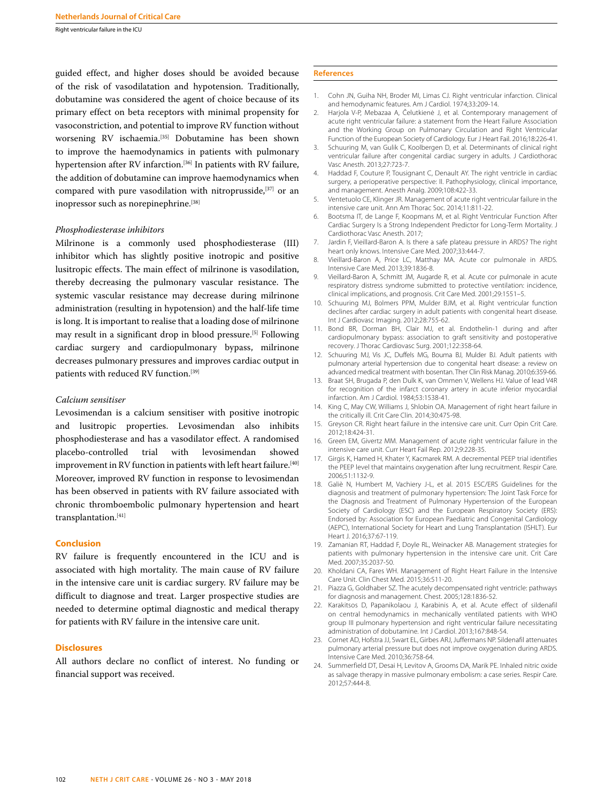Right ventricular failure in the ICU

guided effect, and higher doses should be avoided because of the risk of vasodilatation and hypotension. Traditionally, dobutamine was considered the agent of choice because of its primary effect on beta receptors with minimal propensity for vasoconstriction, and potential to improve RV function without worsening RV ischaemia.<sup>[35]</sup> Dobutamine has been shown to improve the haemodynamics in patients with pulmonary hypertension after RV infarction.<sup>[36]</sup> In patients with RV failure, the addition of dobutamine can improve haemodynamics when compared with pure vasodilation with nitroprusside,<sup>[37]</sup> or an inopressor such as norepinephrine.<sup>[38]</sup>

## *Phosphodiesterase inhibitors*

Milrinone is a commonly used phosphodiesterase (III) inhibitor which has slightly positive inotropic and positive lusitropic effects. The main effect of milrinone is vasodilation, thereby decreasing the pulmonary vascular resistance. The systemic vascular resistance may decrease during milrinone administration (resulting in hypotension) and the half-life time is long. It is important to realise that a loading dose of milrinone may result in a significant drop in blood pressure.[5] Following cardiac surgery and cardiopulmonary bypass, milrinone decreases pulmonary pressures and improves cardiac output in patients with reduced RV function.<sup>[39]</sup>

#### *Calcium sensitiser*

Levosimendan is a calcium sensitiser with positive inotropic and lusitropic properties. Levosimendan also inhibits phosphodiesterase and has a vasodilator effect. A randomised placebo-controlled trial with levosimendan showed improvement in RV function in patients with left heart failure.<sup>[40]</sup> Moreover, improved RV function in response to levosimendan has been observed in patients with RV failure associated with chronic thromboembolic pulmonary hypertension and heart transplantation.[41]

# **Conclusion**

RV failure is frequently encountered in the ICU and is associated with high mortality. The main cause of RV failure in the intensive care unit is cardiac surgery. RV failure may be difficult to diagnose and treat. Larger prospective studies are needed to determine optimal diagnostic and medical therapy for patients with RV failure in the intensive care unit.

## **Disclosures**

All authors declare no conflict of interest. No funding or financial support was received.

#### **References**

- 1. Cohn JN, Guiha NH, Broder MI, Limas CJ. Right ventricular infarction. Clinical and hemodynamic features. Am J Cardiol. 1974;33:209-14.
- 2. Hariola V-P, Mebazaa A, Čelutkienė J, et al. Contemporary management of acute right ventricular failure: a statement from the Heart Failure Association and the Working Group on Pulmonary Circulation and Right Ventricular Function of the European Society of Cardiology. Eur J Heart Fail. 2016;18:226-41.
- 3. Schuuring M, van Gulik C, Koolbergen D, et al. Determinants of clinical right ventricular failure after congenital cardiac surgery in adults. J Cardiothorac Vasc Anesth. 2013;27:723-7.
- 4. Haddad F, Couture P, Tousignant C, Denault AY. The right ventricle in cardiac surgery, a perioperative perspective: II. Pathophysiology, clinical importance, and management. Anesth Analg. 2009;108:422-33.
- 5. Ventetuolo CE, Klinger JR. Management of acute right ventricular failure in the intensive care unit. Ann Am Thorac Soc. 2014;11:811-22.
- 6. Bootsma IT, de Lange F, Koopmans M, et al. Right Ventricular Function After Cardiac Surgery Is a Strong Independent Predictor for Long-Term Mortality. J Cardiothorac Vasc Anesth. 2017;
- 7. Jardin F, Vieillard-Baron A. Is there a safe plateau pressure in ARDS? The right heart only knows. Intensive Care Med. 2007;33:444-7.
- 8. Vieillard-Baron A, Price LC, Matthay MA. Acute cor pulmonale in ARDS. Intensive Care Med. 2013;39:1836-8.
- 9. Vieillard-Baron A, Schmitt JM, Augarde R, et al. Acute cor pulmonale in acute respiratory distress syndrome submitted to protective ventilation: incidence, clinical implications, and prognosis. Crit Care Med. 2001;29:1551–5.
- 10. Schuuring MJ, Bolmers PPM, Mulder BJM, et al. Right ventricular function declines after cardiac surgery in adult patients with congenital heart disease. Int J Cardiovasc Imaging. 2012;28:755-62.
- 11. Bond BR, Dorman BH, Clair MJ, et al. Endothelin-1 during and after cardiopulmonary bypass: association to graft sensitivity and postoperative recovery. J Thorac Cardiovasc Surg. 2001;122:358-64.
- 12. Schuuring MJ, Vis JC, Duffels MG, Bouma BJ, Mulder BJ. Adult patients with pulmonary arterial hypertension due to congenital heart disease: a review on advanced medical treatment with bosentan. Ther Clin Risk Manag. 2010;6:359-66.
- 13. Braat SH, Brugada P, den Dulk K, van Ommen V, Wellens HJ. Value of lead V4R for recognition of the infarct coronary artery in acute inferior myocardial infarction. Am J Cardiol. 1984;53:1538-41.
- 14. King C, May CW, Williams J, Shlobin OA. Management of right heart failure in the critically ill. Crit Care Clin. 2014;30:475-98.
- 15. Greyson CR. Right heart failure in the intensive care unit. Curr Opin Crit Care. 2012;18:424-31.
- 16. Green EM, Givertz MM. Management of acute right ventricular failure in the intensive care unit. Curr Heart Fail Rep. 2012;9:228-35.
- 17. Girgis K, Hamed H, Khater Y, Kacmarek RM. A decremental PEEP trial identifies the PEEP level that maintains oxygenation after lung recruitment. Respir Care. 2006;51:1132-9.
- 18. Galiè N, Humbert M, Vachiery J-L, et al. 2015 ESC/ERS Guidelines for the diagnosis and treatment of pulmonary hypertension: The Joint Task Force for the Diagnosis and Treatment of Pulmonary Hypertension of the European Society of Cardiology (ESC) and the European Respiratory Society (ERS): Endorsed by: Association for European Paediatric and Congenital Cardiology (AEPC), International Society for Heart and Lung Transplantation (ISHLT). Eur Heart J. 2016;37:67-119.
- 19. Zamanian RT, Haddad F, Doyle RL, Weinacker AB. Management strategies for patients with pulmonary hypertension in the intensive care unit. Crit Care Med. 2007;35:2037-50.
- 20. Kholdani CA, Fares WH. Management of Right Heart Failure in the Intensive Care Unit. Clin Chest Med. 2015;36:511-20.
- 21. Piazza G, Goldhaber SZ. The acutely decompensated right ventricle: pathways for diagnosis and management. Chest. 2005;128:1836-52.
- 22. Karakitsos D, Papanikolaou J, Karabinis A, et al. Acute effect of sildenafil on central hemodynamics in mechanically ventilated patients with WHO group III pulmonary hypertension and right ventricular failure necessitating administration of dobutamine. Int J Cardiol. 2013;167:848-54.
- 23. Cornet AD, Hofstra JJ, Swart EL, Girbes ARJ, Juffermans NP. Sildenafil attenuates pulmonary arterial pressure but does not improve oxygenation during ARDS. Intensive Care Med. 2010;36:758-64.
- 24. Summerfield DT, Desai H, Levitov A, Grooms DA, Marik PE. Inhaled nitric oxide as salvage therapy in massive pulmonary embolism: a case series. Respir Care. 2012;57:444-8.